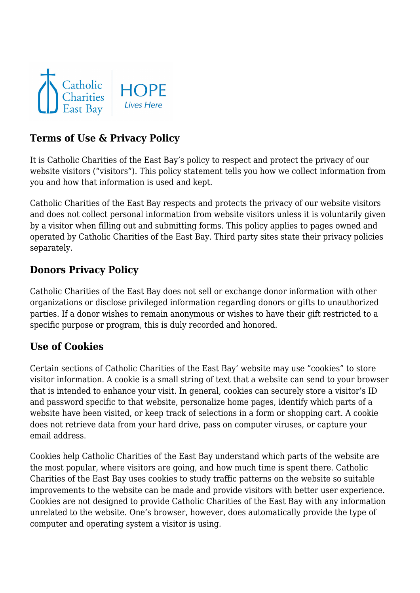

# **Terms of Use & Privacy Policy**

It is Catholic Charities of the East Bay's policy to respect and protect the privacy of our website visitors ("visitors"). This policy statement tells you how we collect information from you and how that information is used and kept.

Catholic Charities of the East Bay respects and protects the privacy of our website visitors and does not collect personal information from website visitors unless it is voluntarily given by a visitor when filling out and submitting forms. This policy applies to pages owned and operated by Catholic Charities of the East Bay. Third party sites state their privacy policies separately.

### **Donors Privacy Policy**

Catholic Charities of the East Bay does not sell or exchange donor information with other organizations or disclose privileged information regarding donors or gifts to unauthorized parties. If a donor wishes to remain anonymous or wishes to have their gift restricted to a specific purpose or program, this is duly recorded and honored.

### **Use of Cookies**

Certain sections of Catholic Charities of the East Bay' website may use "cookies" to store visitor information. A cookie is a small string of text that a website can send to your browser that is intended to enhance your visit. In general, cookies can securely store a visitor's ID and password specific to that website, personalize home pages, identify which parts of a website have been visited, or keep track of selections in a form or shopping cart. A cookie does not retrieve data from your hard drive, pass on computer viruses, or capture your email address.

Cookies help Catholic Charities of the East Bay understand which parts of the website are the most popular, where visitors are going, and how much time is spent there. Catholic Charities of the East Bay uses cookies to study traffic patterns on the website so suitable improvements to the website can be made and provide visitors with better user experience. Cookies are not designed to provide Catholic Charities of the East Bay with any information unrelated to the website. One's browser, however, does automatically provide the type of computer and operating system a visitor is using.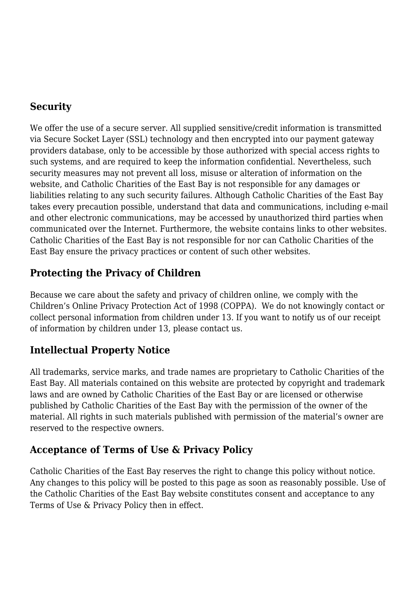### **Security**

We offer the use of a secure server. All supplied sensitive/credit information is transmitted via Secure Socket Layer (SSL) technology and then encrypted into our payment gateway providers database, only to be accessible by those authorized with special access rights to such systems, and are required to keep the information confidential. Nevertheless, such security measures may not prevent all loss, misuse or alteration of information on the website, and Catholic Charities of the East Bay is not responsible for any damages or liabilities relating to any such security failures. Although Catholic Charities of the East Bay takes every precaution possible, understand that data and communications, including e-mail and other electronic communications, may be accessed by unauthorized third parties when communicated over the Internet. Furthermore, the website contains links to other websites. Catholic Charities of the East Bay is not responsible for nor can Catholic Charities of the East Bay ensure the privacy practices or content of such other websites.

## **Protecting the Privacy of Children**

Because we care about the safety and privacy of children online, we comply with the Children's Online Privacy Protection Act of 1998 (COPPA). We do not knowingly contact or collect personal information from children under 13. If you want to notify us of our receipt of information by children under 13, please contact us.

### **Intellectual Property Notice**

All trademarks, service marks, and trade names are proprietary to Catholic Charities of the East Bay. All materials contained on this website are protected by copyright and trademark laws and are owned by Catholic Charities of the East Bay or are licensed or otherwise published by Catholic Charities of the East Bay with the permission of the owner of the material. All rights in such materials published with permission of the material's owner are reserved to the respective owners.

### **Acceptance of Terms of Use & Privacy Policy**

Catholic Charities of the East Bay reserves the right to change this policy without notice. Any changes to this policy will be posted to this page as soon as reasonably possible. Use of the Catholic Charities of the East Bay website constitutes consent and acceptance to any Terms of Use & Privacy Policy then in effect.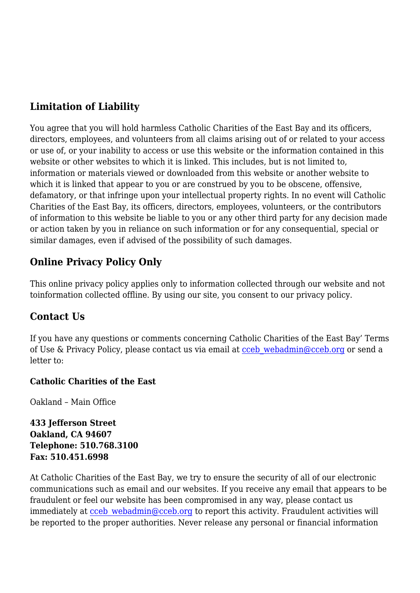# **Limitation of Liability**

You agree that you will hold harmless Catholic Charities of the East Bay and its officers, directors, employees, and volunteers from all claims arising out of or related to your access or use of, or your inability to access or use this website or the information contained in this website or other websites to which it is linked. This includes, but is not limited to, information or materials viewed or downloaded from this website or another website to which it is linked that appear to you or are construed by you to be obscene, offensive, defamatory, or that infringe upon your intellectual property rights. In no event will Catholic Charities of the East Bay, its officers, directors, employees, volunteers, or the contributors of information to this website be liable to you or any other third party for any decision made or action taken by you in reliance on such information or for any consequential, special or similar damages, even if advised of the possibility of such damages.

# **Online Privacy Policy Only**

This online privacy policy applies only to information collected through our website and not toinformation collected offline. By using our site, you consent to our privacy policy.

### **Contact Us**

If you have any questions or comments concerning Catholic Charities of the East Bay' Terms of Use & Privacy Policy, please contact us via email at [cceb\\_webadmin@cceb.org](mailto:cceb_webadmin@cceb.org) or send a letter to:

#### **Catholic Charities of the East**

Oakland – Main Office

**433 Jefferson Street Oakland, CA 94607 Telephone: 510.768.3100 Fax: 510.451.6998**

At Catholic Charities of the East Bay, we try to ensure the security of all of our electronic communications such as email and our websites. If you receive any email that appears to be fraudulent or feel our website has been compromised in any way, please contact us immediately at cceb webadmin@cceb.org to report this activity. Fraudulent activities will be reported to the proper authorities. Never release any personal or financial information